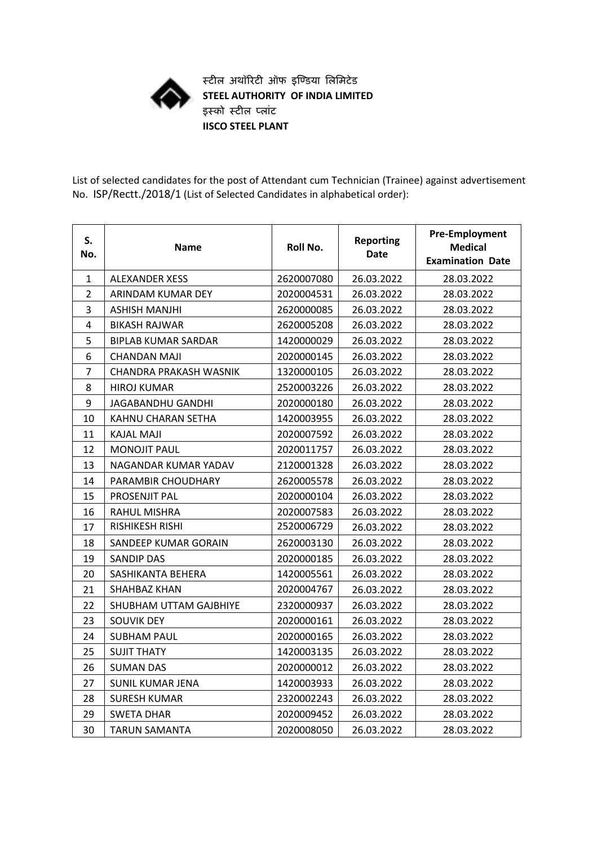

**स्टील अथॉरिटी ऑफ इण्डिया लललिटेि STEEL AUTHORITY OF INDIA LIMITED इस्को स्टील पलाांट IISCO STEEL PLANT**

List of selected candidates for the post of Attendant cum Technician (Trainee) against advertisement No. ISP/Rectt./2018/1 (List of Selected Candidates in alphabetical order):

| S.<br>No.      | Name                          | Roll No.   | <b>Reporting</b><br>Date | <b>Pre-Employment</b><br><b>Medical</b><br><b>Examination Date</b> |
|----------------|-------------------------------|------------|--------------------------|--------------------------------------------------------------------|
| $\mathbf{1}$   | <b>ALEXANDER XESS</b>         | 2620007080 | 26.03.2022               | 28.03.2022                                                         |
| $\overline{2}$ | ARINDAM KUMAR DEY             | 2020004531 | 26.03.2022               | 28.03.2022                                                         |
| 3              | ASHISH MANJHI                 | 2620000085 | 26.03.2022               | 28.03.2022                                                         |
| 4              | <b>BIKASH RAJWAR</b>          | 2620005208 | 26.03.2022               | 28.03.2022                                                         |
| 5              | <b>BIPLAB KUMAR SARDAR</b>    | 1420000029 | 26.03.2022               | 28.03.2022                                                         |
| 6              | CHANDAN MAJI                  | 2020000145 | 26.03.2022               | 28.03.2022                                                         |
| $\overline{7}$ | <b>CHANDRA PRAKASH WASNIK</b> | 1320000105 | 26.03.2022               | 28.03.2022                                                         |
| 8              | <b>HIROJ KUMAR</b>            | 2520003226 | 26.03.2022               | 28.03.2022                                                         |
| 9              | <b>JAGABANDHU GANDHI</b>      | 2020000180 | 26.03.2022               | 28.03.2022                                                         |
| 10             | KAHNU CHARAN SETHA            | 1420003955 | 26.03.2022               | 28.03.2022                                                         |
| 11             | <b>KAJAL MAJI</b>             | 2020007592 | 26.03.2022               | 28.03.2022                                                         |
| 12             | <b>MONOJIT PAUL</b>           | 2020011757 | 26.03.2022               | 28.03.2022                                                         |
| 13             | NAGANDAR KUMAR YADAV          | 2120001328 | 26.03.2022               | 28.03.2022                                                         |
| 14             | PARAMBIR CHOUDHARY            | 2620005578 | 26.03.2022               | 28.03.2022                                                         |
| 15             | PROSENJIT PAL                 | 2020000104 | 26.03.2022               | 28.03.2022                                                         |
| 16             | <b>RAHUL MISHRA</b>           | 2020007583 | 26.03.2022               | 28.03.2022                                                         |
| 17             | RISHIKESH RISHI               | 2520006729 | 26.03.2022               | 28.03.2022                                                         |
| 18             | SANDEEP KUMAR GORAIN          | 2620003130 | 26.03.2022               | 28.03.2022                                                         |
| 19             | <b>SANDIP DAS</b>             | 2020000185 | 26.03.2022               | 28.03.2022                                                         |
| 20             | SASHIKANTA BEHERA             | 1420005561 | 26.03.2022               | 28.03.2022                                                         |
| 21             | <b>SHAHBAZ KHAN</b>           | 2020004767 | 26.03.2022               | 28.03.2022                                                         |
| 22             | SHUBHAM UTTAM GAJBHIYE        | 2320000937 | 26.03.2022               | 28.03.2022                                                         |
| 23             | <b>SOUVIK DEY</b>             | 2020000161 | 26.03.2022               | 28.03.2022                                                         |
| 24             | <b>SUBHAM PAUL</b>            | 2020000165 | 26.03.2022               | 28.03.2022                                                         |
| 25             | <b>SUJIT THATY</b>            | 1420003135 | 26.03.2022               | 28.03.2022                                                         |
| 26             | <b>SUMAN DAS</b>              | 2020000012 | 26.03.2022               | 28.03.2022                                                         |
| 27             | <b>SUNIL KUMAR JENA</b>       | 1420003933 | 26.03.2022               | 28.03.2022                                                         |
| 28             | <b>SURESH KUMAR</b>           | 2320002243 | 26.03.2022               | 28.03.2022                                                         |
| 29             | <b>SWETA DHAR</b>             | 2020009452 | 26.03.2022               | 28.03.2022                                                         |
| 30             | <b>TARUN SAMANTA</b>          | 2020008050 | 26.03.2022               | 28.03.2022                                                         |